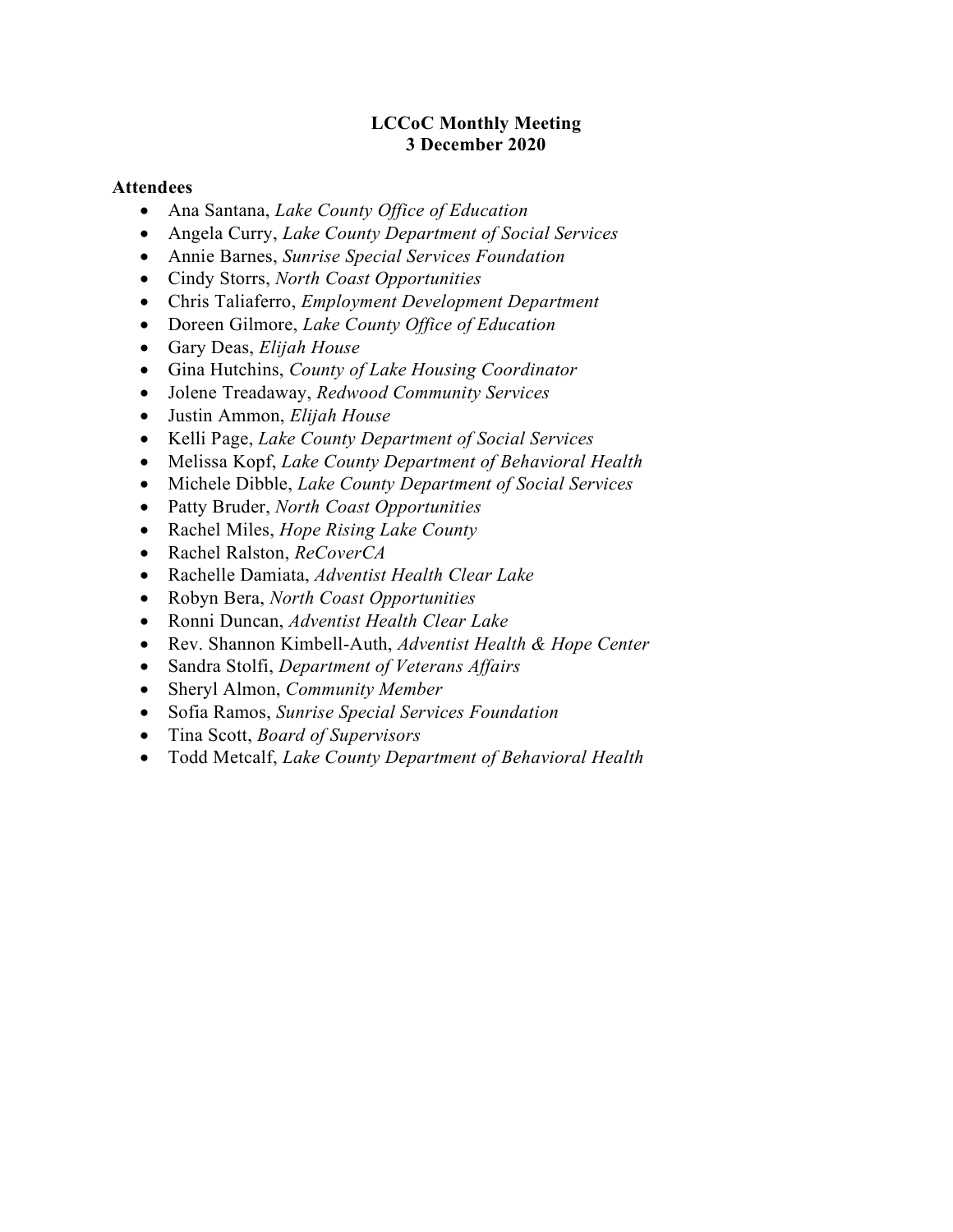#### LCCoC Monthly Meeting 3 December 2020

#### Attendees

- Ana Santana, Lake County Office of Education
- Angela Curry, Lake County Department of Social Services
- Annie Barnes, Sunrise Special Services Foundation
- Cindy Storrs, North Coast Opportunities
- Chris Taliaferro, Employment Development Department
- Doreen Gilmore, Lake County Office of Education
- Gary Deas, Elijah House
- Gina Hutchins, County of Lake Housing Coordinator
- Jolene Treadaway, Redwood Community Services
- Justin Ammon, Elijah House
- Kelli Page, *Lake County Department of Social Services*
- Melissa Kopf, Lake County Department of Behavioral Health
- Michele Dibble, Lake County Department of Social Services
- Patty Bruder, North Coast Opportunities
- Rachel Miles, Hope Rising Lake County
- Rachel Ralston, ReCoverCA
- Rachelle Damiata, Adventist Health Clear Lake
- Robyn Bera, North Coast Opportunities
- Ronni Duncan, Adventist Health Clear Lake
- Rev. Shannon Kimbell-Auth, Adventist Health & Hope Center
- Sandra Stolfi, Department of Veterans Affairs
- Sheryl Almon, Community Member
- Sofia Ramos, Sunrise Special Services Foundation
- Tina Scott, Board of Supervisors
- Todd Metcalf, Lake County Department of Behavioral Health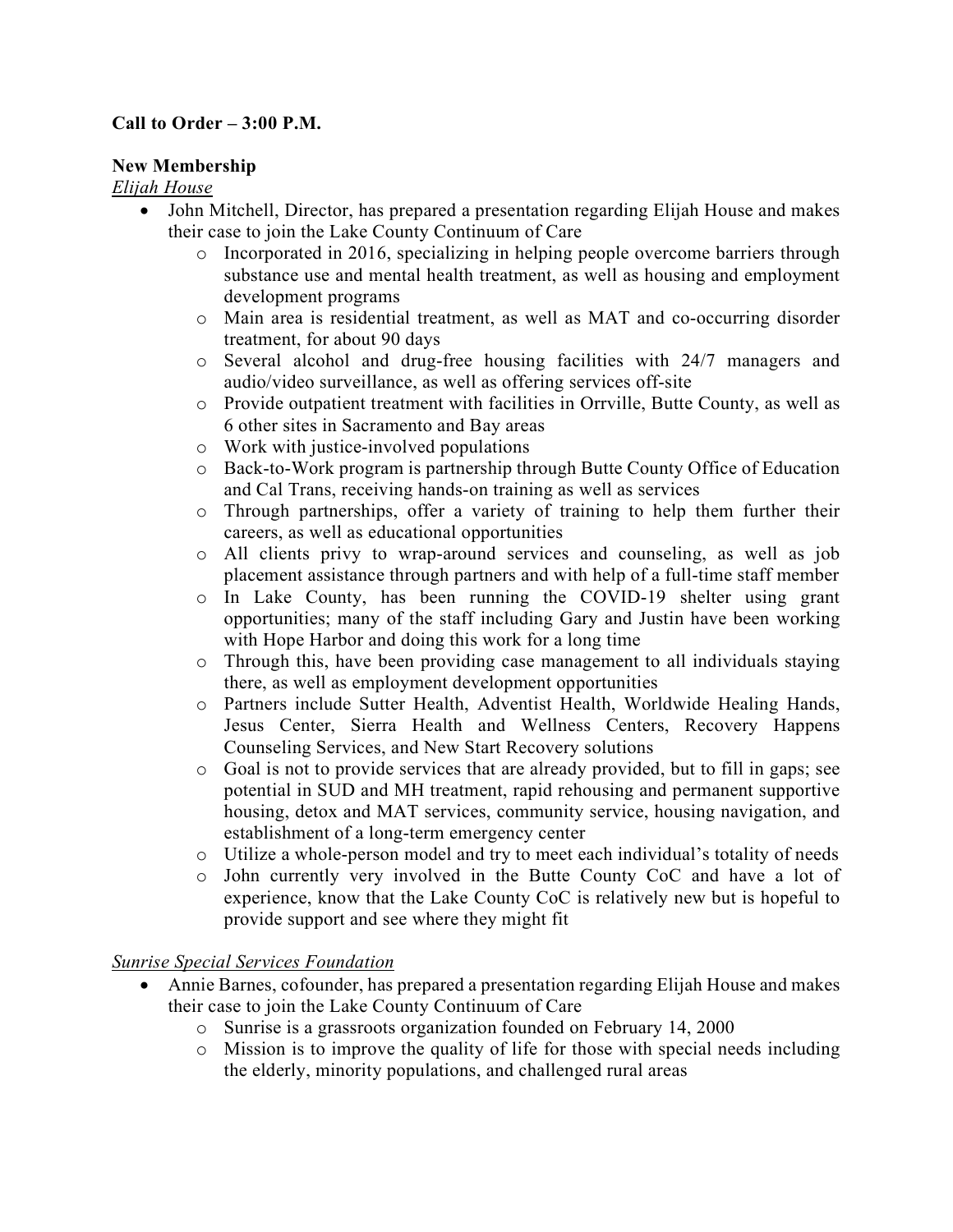## Call to Order – 3:00 P.M.

#### New Membership

#### Elijah House

- John Mitchell, Director, has prepared a presentation regarding Elijah House and makes their case to join the Lake County Continuum of Care
	- o Incorporated in 2016, specializing in helping people overcome barriers through substance use and mental health treatment, as well as housing and employment development programs
	- o Main area is residential treatment, as well as MAT and co-occurring disorder treatment, for about 90 days
	- o Several alcohol and drug-free housing facilities with 24/7 managers and audio/video surveillance, as well as offering services off-site
	- o Provide outpatient treatment with facilities in Orrville, Butte County, as well as 6 other sites in Sacramento and Bay areas
	- o Work with justice-involved populations
	- o Back-to-Work program is partnership through Butte County Office of Education and Cal Trans, receiving hands-on training as well as services
	- o Through partnerships, offer a variety of training to help them further their careers, as well as educational opportunities
	- o All clients privy to wrap-around services and counseling, as well as job placement assistance through partners and with help of a full-time staff member
	- o In Lake County, has been running the COVID-19 shelter using grant opportunities; many of the staff including Gary and Justin have been working with Hope Harbor and doing this work for a long time
	- o Through this, have been providing case management to all individuals staying there, as well as employment development opportunities
	- o Partners include Sutter Health, Adventist Health, Worldwide Healing Hands, Jesus Center, Sierra Health and Wellness Centers, Recovery Happens Counseling Services, and New Start Recovery solutions
	- o Goal is not to provide services that are already provided, but to fill in gaps; see potential in SUD and MH treatment, rapid rehousing and permanent supportive housing, detox and MAT services, community service, housing navigation, and establishment of a long-term emergency center
	- o Utilize a whole-person model and try to meet each individual's totality of needs
	- o John currently very involved in the Butte County CoC and have a lot of experience, know that the Lake County CoC is relatively new but is hopeful to provide support and see where they might fit

### Sunrise Special Services Foundation

- Annie Barnes, cofounder, has prepared a presentation regarding Elijah House and makes their case to join the Lake County Continuum of Care
	- o Sunrise is a grassroots organization founded on February 14, 2000
	- o Mission is to improve the quality of life for those with special needs including the elderly, minority populations, and challenged rural areas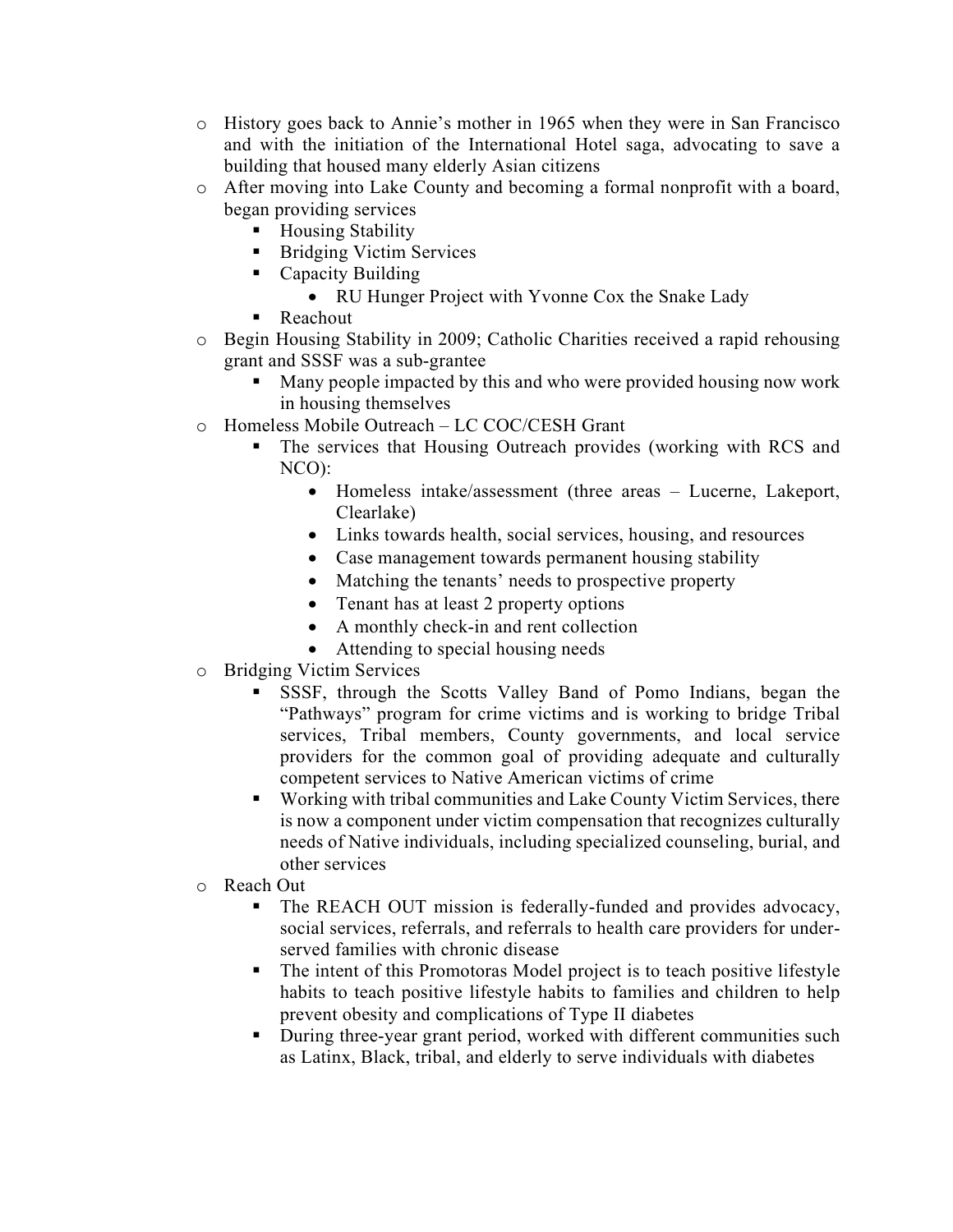- o History goes back to Annie's mother in 1965 when they were in San Francisco and with the initiation of the International Hotel saga, advocating to save a building that housed many elderly Asian citizens
- o After moving into Lake County and becoming a formal nonprofit with a board, began providing services
	- Housing Stability
	- Bridging Victim Services
	- **Capacity Building** 
		- RU Hunger Project with Yvonne Cox the Snake Lady
	- Reachout
- o Begin Housing Stability in 2009; Catholic Charities received a rapid rehousing grant and SSSF was a sub-grantee
	- Many people impacted by this and who were provided housing now work in housing themselves
- o Homeless Mobile Outreach LC COC/CESH Grant
	- The services that Housing Outreach provides (working with RCS and NCO):
		- Homeless intake/assessment (three areas Lucerne, Lakeport, Clearlake)
		- Links towards health, social services, housing, and resources
		- Case management towards permanent housing stability
		- Matching the tenants' needs to prospective property
		- Tenant has at least 2 property options
		- A monthly check-in and rent collection
		- Attending to special housing needs
- o Bridging Victim Services
	- SSSF, through the Scotts Valley Band of Pomo Indians, began the "Pathways" program for crime victims and is working to bridge Tribal services, Tribal members, County governments, and local service providers for the common goal of providing adequate and culturally competent services to Native American victims of crime
	- Working with tribal communities and Lake County Victim Services, there is now a component under victim compensation that recognizes culturally needs of Native individuals, including specialized counseling, burial, and other services
- o Reach Out
	- The REACH OUT mission is federally-funded and provides advocacy, social services, referrals, and referrals to health care providers for underserved families with chronic disease
	- The intent of this Promotoras Model project is to teach positive lifestyle habits to teach positive lifestyle habits to families and children to help prevent obesity and complications of Type II diabetes
	- During three-year grant period, worked with different communities such as Latinx, Black, tribal, and elderly to serve individuals with diabetes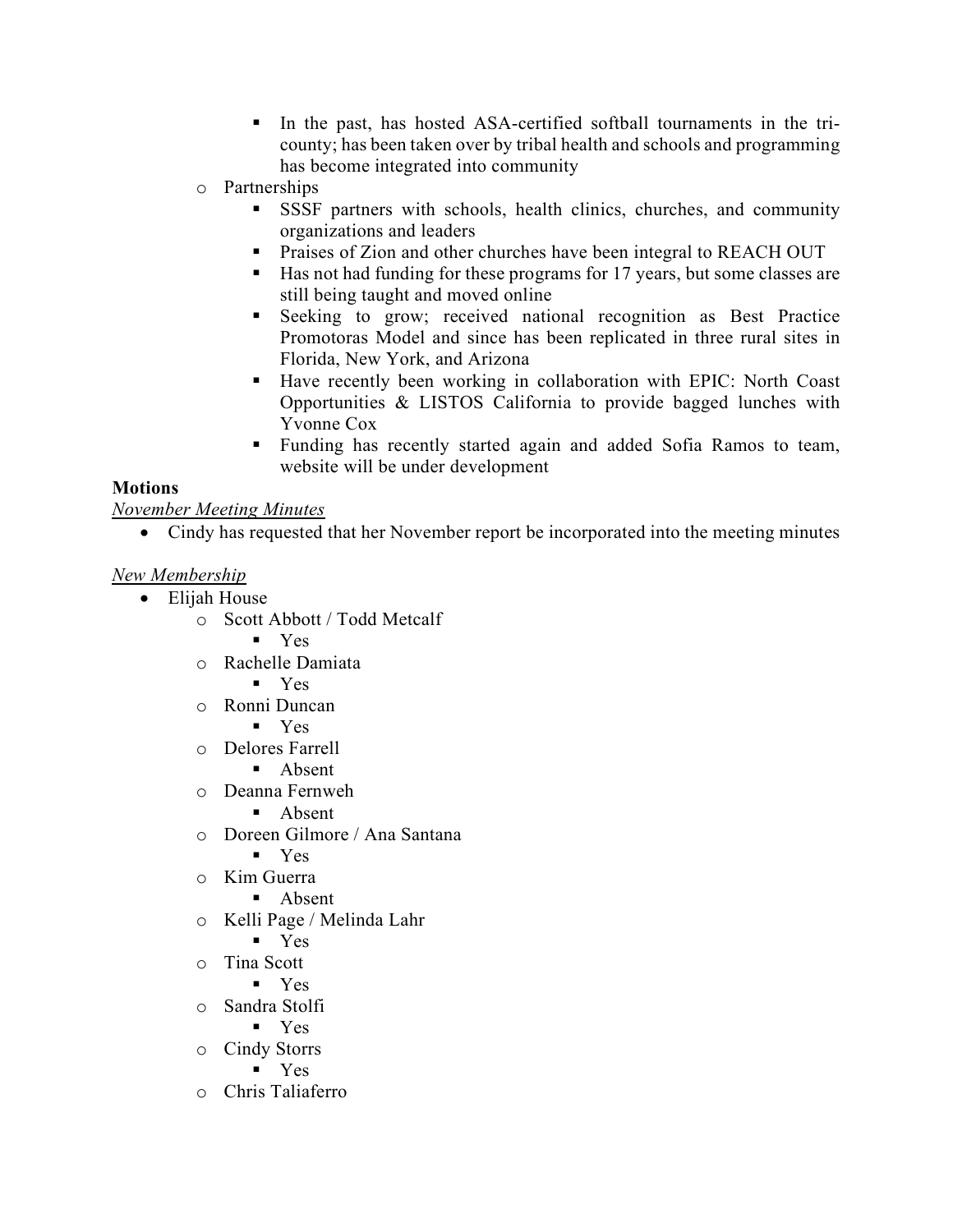- In the past, has hosted ASA-certified softball tournaments in the tricounty; has been taken over by tribal health and schools and programming has become integrated into community
- o Partnerships
	- SSSF partners with schools, health clinics, churches, and community organizations and leaders
	- Praises of Zion and other churches have been integral to REACH OUT
	- Has not had funding for these programs for 17 years, but some classes are still being taught and moved online
	- Seeking to grow; received national recognition as Best Practice Promotoras Model and since has been replicated in three rural sites in Florida, New York, and Arizona
	- Have recently been working in collaboration with EPIC: North Coast Opportunities & LISTOS California to provide bagged lunches with Yvonne Cox
	- Funding has recently started again and added Sofia Ramos to team, website will be under development

### **Motions**

November Meeting Minutes

Cindy has requested that her November report be incorporated into the meeting minutes

### New Membership

- Elijah House
	- o Scott Abbott / Todd Metcalf
		- **v** Yes
	- o Rachelle Damiata
		- Yes
	- o Ronni Duncan
		- Yes
	- o Delores Farrell
		- **Absent**
	- o Deanna Fernweh
		- **Absent**
	- o Doreen Gilmore / Ana Santana
		- Yes
	- o Kim Guerra
		- Absent
	- o Kelli Page / Melinda Lahr
		- Yes
	- o Tina Scott
		- Yes
	- o Sandra Stolfi
		- $Y$ es
	- o Cindy Storrs
		- Yes
	- o Chris Taliaferro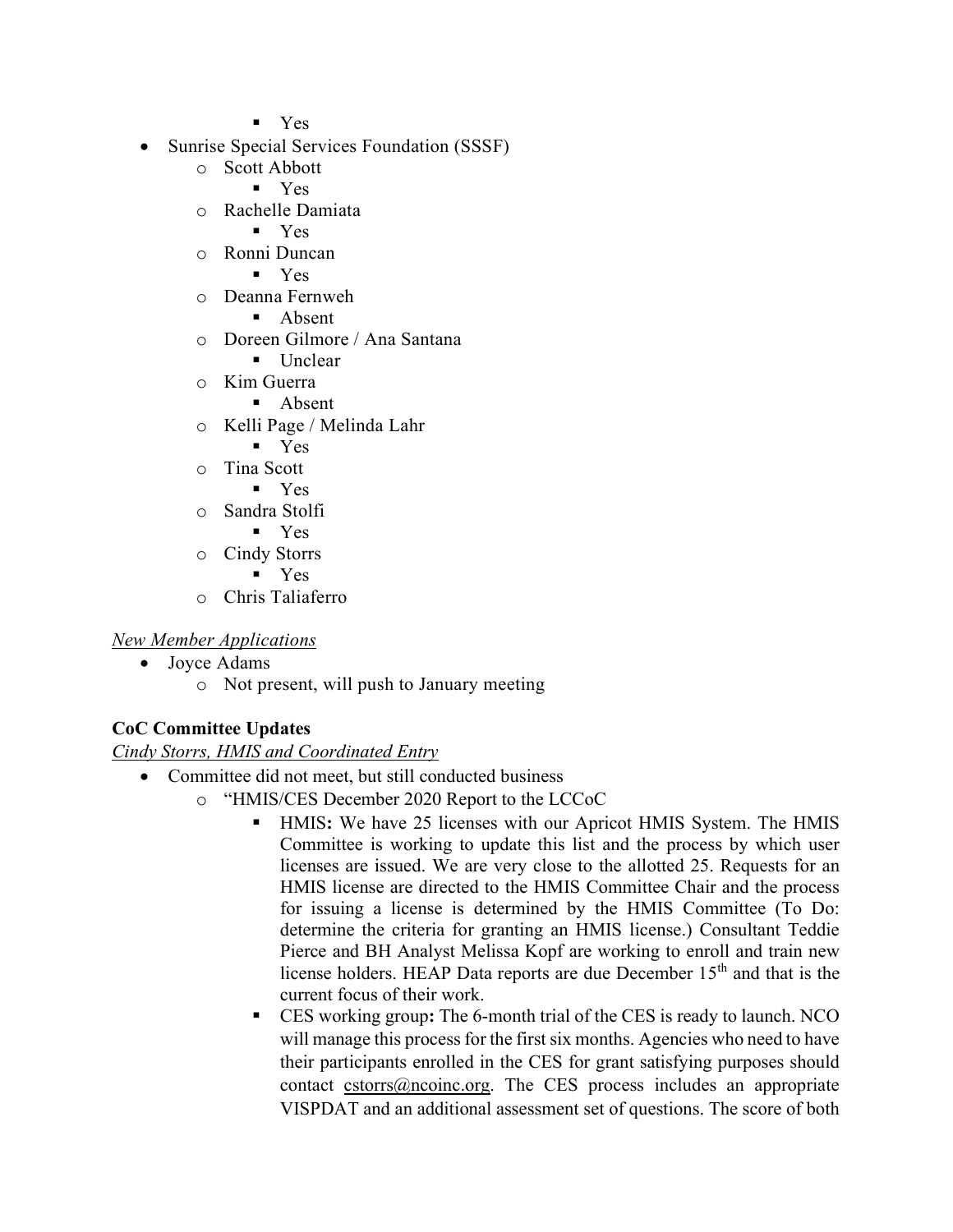Yes

- Sunrise Special Services Foundation (SSSF)
	- o Scott Abbott
		- Yes
	- o Rachelle Damiata
		- Yes
	- o Ronni Duncan
		- Yes
	- o Deanna Fernweh
		- Absent
	- o Doreen Gilmore / Ana Santana
		- Unclear
	- o Kim Guerra
		- **Absent**
	- o Kelli Page / Melinda Lahr
		- Yes
	- o Tina Scott
		- Yes
	- o Sandra Stolfi
		- **v** Yes
	- o Cindy Storrs
		- **v** Yes
	- o Chris Taliaferro

### New Member Applications

- Joyce Adams
	- o Not present, will push to January meeting

# CoC Committee Updates

### Cindy Storrs, HMIS and Coordinated Entry

- Committee did not meet, but still conducted business
	- o "HMIS/CES December 2020 Report to the LCCoC
		- HMIS: We have 25 licenses with our Apricot HMIS System. The HMIS Committee is working to update this list and the process by which user licenses are issued. We are very close to the allotted 25. Requests for an HMIS license are directed to the HMIS Committee Chair and the process for issuing a license is determined by the HMIS Committee (To Do: determine the criteria for granting an HMIS license.) Consultant Teddie Pierce and BH Analyst Melissa Kopf are working to enroll and train new license holders. HEAP Data reports are due December 15<sup>th</sup> and that is the current focus of their work.
		- CES working group: The 6-month trial of the CES is ready to launch. NCO will manage this process for the first six months. Agencies who need to have their participants enrolled in the CES for grant satisfying purposes should contact  $\frac{c \times c \times c}{c \times d}$  contact cstorrs (*a*) nocess includes an appropriate VISPDAT and an additional assessment set of questions. The score of both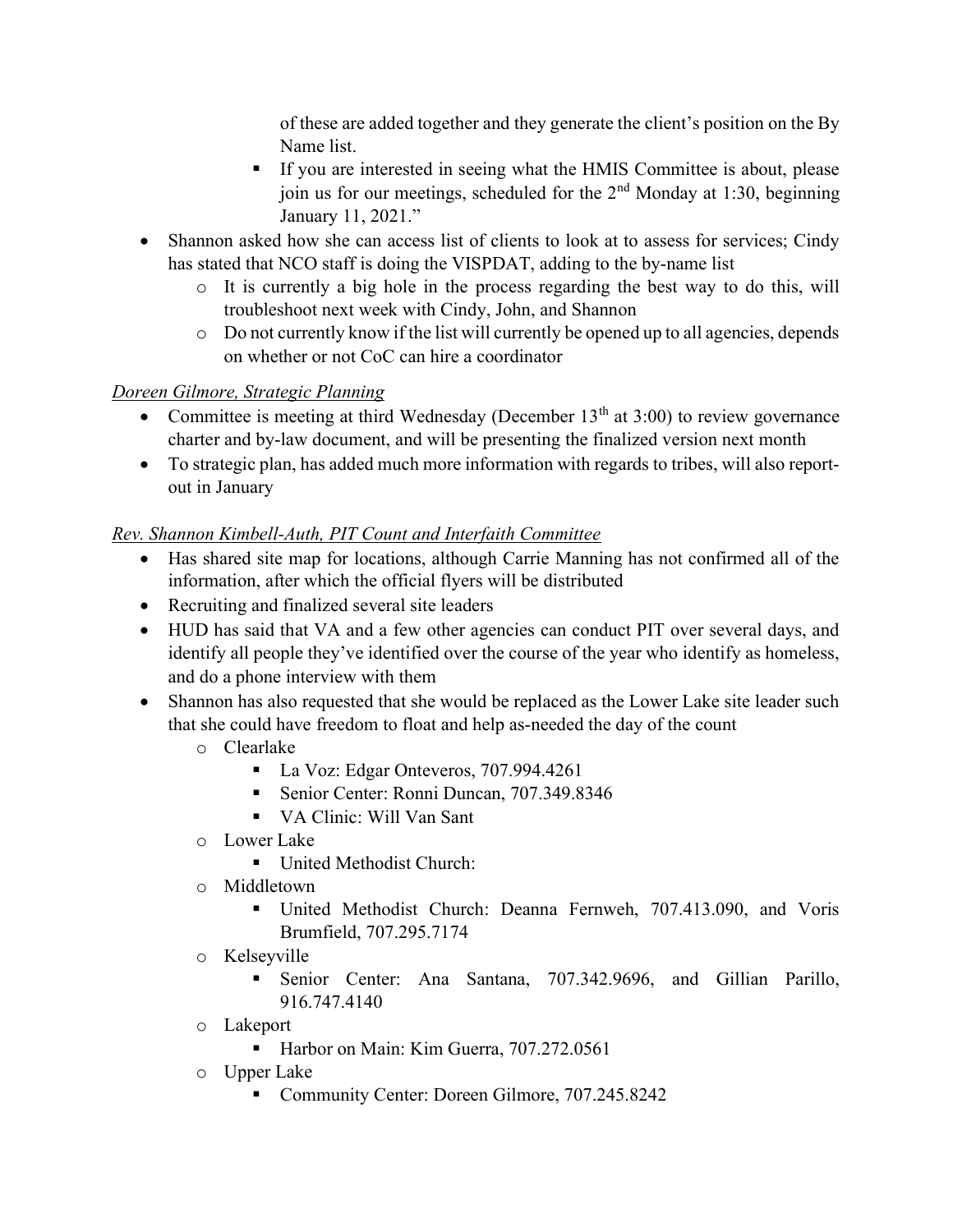of these are added together and they generate the client's position on the By Name list.

- If you are interested in seeing what the HMIS Committee is about, please join us for our meetings, scheduled for the 2<sup>nd</sup> Monday at 1:30, beginning January 11, 2021."
- Shannon asked how she can access list of clients to look at to assess for services; Cindy has stated that NCO staff is doing the VISPDAT, adding to the by-name list
	- o It is currently a big hole in the process regarding the best way to do this, will troubleshoot next week with Cindy, John, and Shannon
	- o Do not currently know if the list will currently be opened up to all agencies, depends on whether or not CoC can hire a coordinator

# Doreen Gilmore, Strategic Planning

- Committee is meeting at third Wednesday (December  $13<sup>th</sup>$  at  $3:00$ ) to review governance charter and by-law document, and will be presenting the finalized version next month
- To strategic plan, has added much more information with regards to tribes, will also reportout in January

# Rev. Shannon Kimbell-Auth, PIT Count and Interfaith Committee

- Has shared site map for locations, although Carrie Manning has not confirmed all of the information, after which the official flyers will be distributed
- Recruiting and finalized several site leaders
- HUD has said that VA and a few other agencies can conduct PIT over several days, and identify all people they've identified over the course of the year who identify as homeless, and do a phone interview with them
- Shannon has also requested that she would be replaced as the Lower Lake site leader such that she could have freedom to float and help as-needed the day of the count
	- o Clearlake
		- La Voz: Edgar Onteveros, 707.994.4261
		- Senior Center: Ronni Duncan, 707.349.8346
		- VA Clinic: Will Van Sant
	- o Lower Lake
		- United Methodist Church:
	- o Middletown
		- United Methodist Church: Deanna Fernweh, 707.413.090, and Voris Brumfield, 707.295.7174
	- o Kelseyville
		- Senior Center: Ana Santana, 707.342.9696, and Gillian Parillo, 916.747.4140
	- o Lakeport
		- Harbor on Main: Kim Guerra, 707.272.0561
	- o Upper Lake
		- Community Center: Doreen Gilmore, 707.245.8242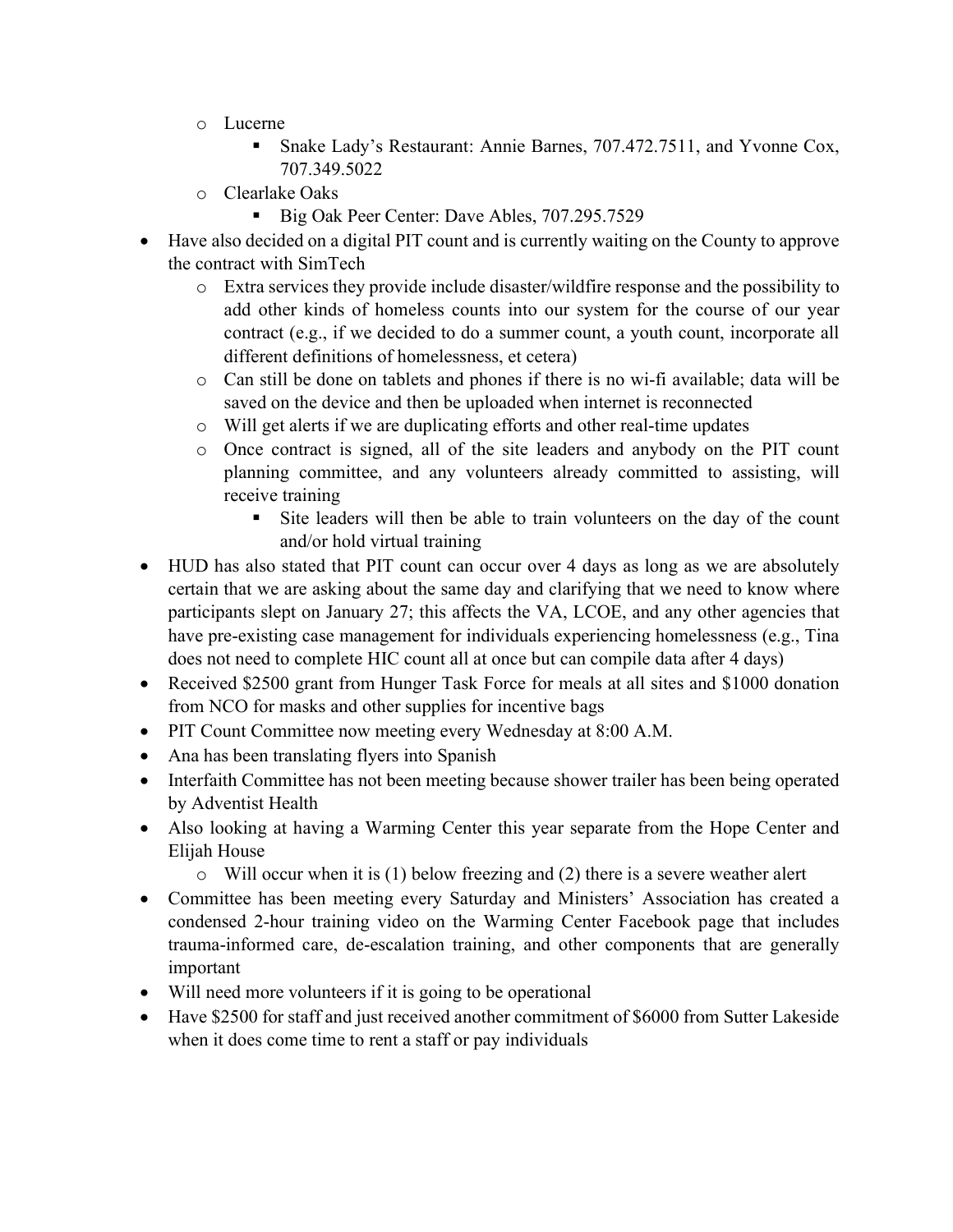- o Lucerne
	- Snake Lady's Restaurant: Annie Barnes, 707.472.7511, and Yvonne Cox, 707.349.5022
- o Clearlake Oaks
	- Big Oak Peer Center: Dave Ables, 707.295.7529
- Have also decided on a digital PIT count and is currently waiting on the County to approve the contract with SimTech
	- o Extra services they provide include disaster/wildfire response and the possibility to add other kinds of homeless counts into our system for the course of our year contract (e.g., if we decided to do a summer count, a youth count, incorporate all different definitions of homelessness, et cetera)
	- o Can still be done on tablets and phones if there is no wi-fi available; data will be saved on the device and then be uploaded when internet is reconnected
	- o Will get alerts if we are duplicating efforts and other real-time updates
	- o Once contract is signed, all of the site leaders and anybody on the PIT count planning committee, and any volunteers already committed to assisting, will receive training
		- Site leaders will then be able to train volunteers on the day of the count and/or hold virtual training
- HUD has also stated that PIT count can occur over 4 days as long as we are absolutely certain that we are asking about the same day and clarifying that we need to know where participants slept on January 27; this affects the VA, LCOE, and any other agencies that have pre-existing case management for individuals experiencing homelessness (e.g., Tina does not need to complete HIC count all at once but can compile data after 4 days)
- Received \$2500 grant from Hunger Task Force for meals at all sites and \$1000 donation from NCO for masks and other supplies for incentive bags
- PIT Count Committee now meeting every Wednesday at 8:00 A.M.
- Ana has been translating flyers into Spanish
- Interfaith Committee has not been meeting because shower trailer has been being operated by Adventist Health
- Also looking at having a Warming Center this year separate from the Hope Center and Elijah House
	- $\circ$  Will occur when it is (1) below freezing and (2) there is a severe weather alert
- Committee has been meeting every Saturday and Ministers' Association has created a condensed 2-hour training video on the Warming Center Facebook page that includes trauma-informed care, de-escalation training, and other components that are generally important
- Will need more volunteers if it is going to be operational
- Have \$2500 for staff and just received another commitment of \$6000 from Sutter Lakeside when it does come time to rent a staff or pay individuals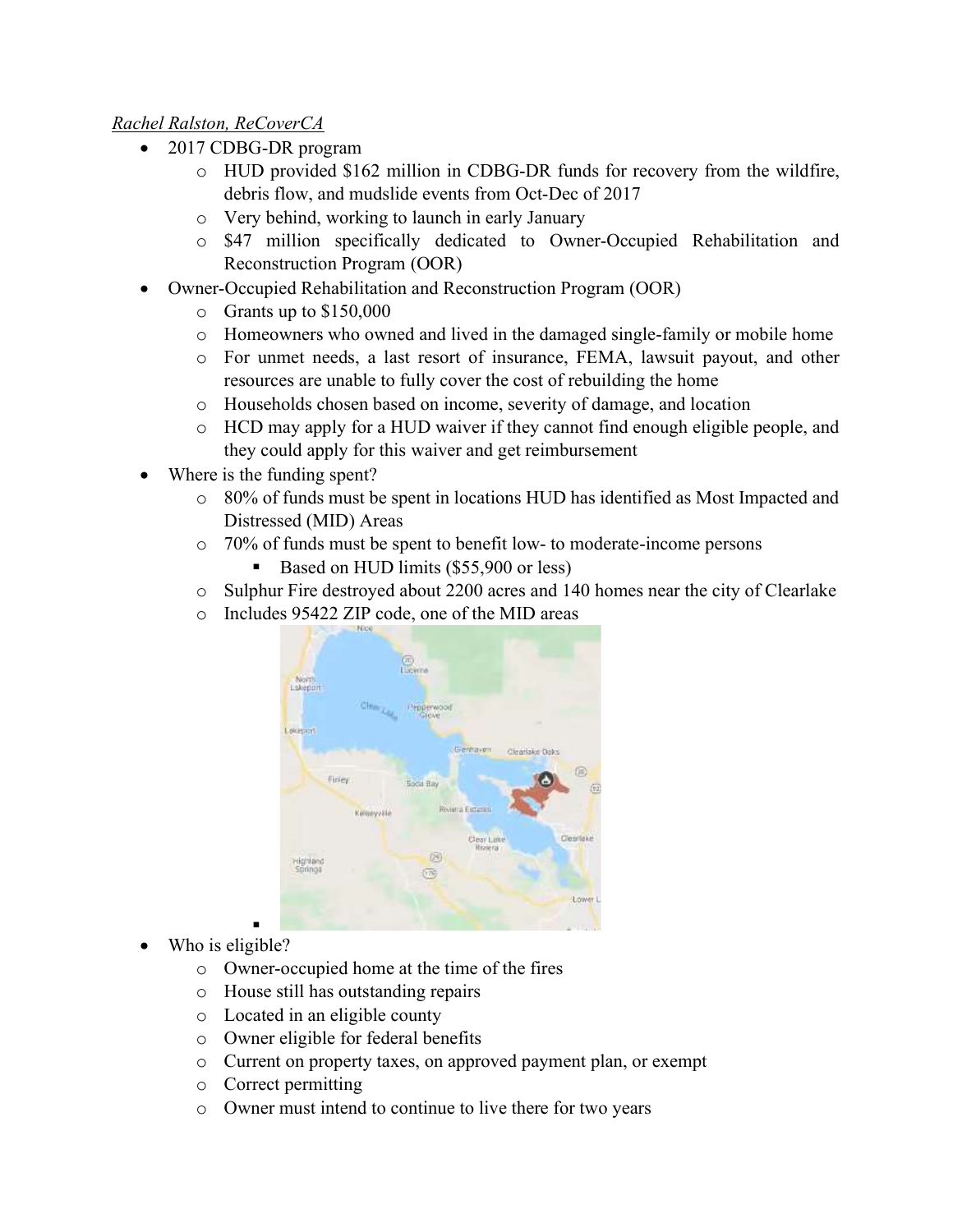# Rachel Ralston, ReCoverCA

- 2017 CDBG-DR program
	- o HUD provided \$162 million in CDBG-DR funds for recovery from the wildfire, debris flow, and mudslide events from Oct-Dec of 2017
	- o Very behind, working to launch in early January
	- o \$47 million specifically dedicated to Owner-Occupied Rehabilitation and Reconstruction Program (OOR)
- Owner-Occupied Rehabilitation and Reconstruction Program (OOR)
	- $\circ$  Grants up to \$150,000
	- o Homeowners who owned and lived in the damaged single-family or mobile home
	- o For unmet needs, a last resort of insurance, FEMA, lawsuit payout, and other resources are unable to fully cover the cost of rebuilding the home
	- o Households chosen based on income, severity of damage, and location
	- o HCD may apply for a HUD waiver if they cannot find enough eligible people, and they could apply for this waiver and get reimbursement
- Where is the funding spent?
	- o 80% of funds must be spent in locations HUD has identified as Most Impacted and Distressed (MID) Areas
	- o 70% of funds must be spent to benefit low- to moderate-income persons
		- Based on HUD limits (\$55,900 or less)
	- o Sulphur Fire destroyed about 2200 acres and 140 homes near the city of Clearlake
	- o Includes 95422 ZIP code, one of the MID areas



- . Who is eligible?
	- o Owner-occupied home at the time of the fires
	- o House still has outstanding repairs
	- o Located in an eligible county
	- o Owner eligible for federal benefits
	- o Current on property taxes, on approved payment plan, or exempt
	- o Correct permitting
	- o Owner must intend to continue to live there for two years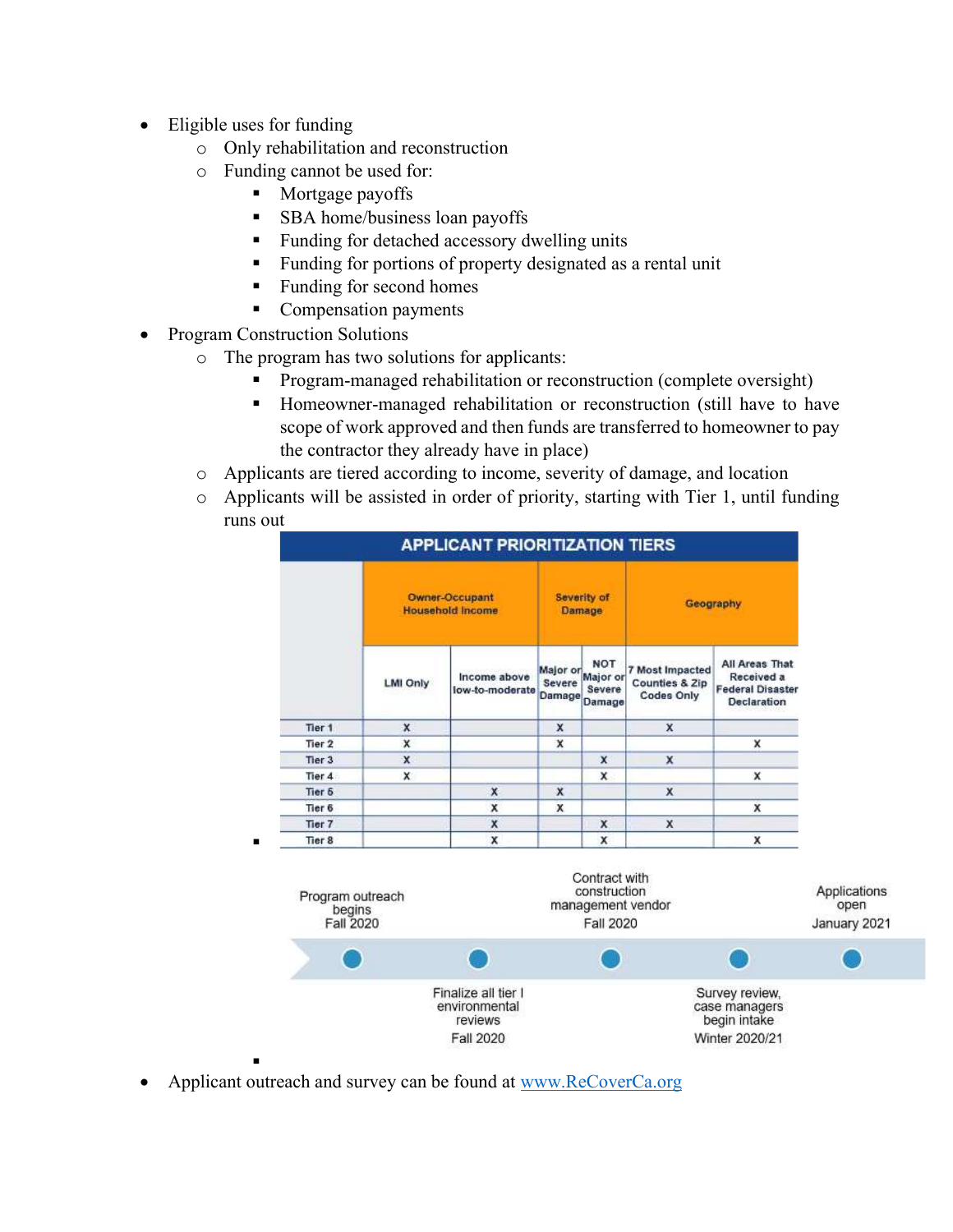- Eligible uses for funding
	- o Only rehabilitation and reconstruction
	- o Funding cannot be used for:
		- **Mortgage payoffs** 
			- **SBA** home/business loan payoffs
			- Funding for detached accessory dwelling units
			- Funding for portions of property designated as a rental unit
			- Funding for second homes
			- Compensation payments
- Program Construction Solutions

- o The program has two solutions for applicants:
	- Program-managed rehabilitation or reconstruction (complete oversight)
	- Homeowner-managed rehabilitation or reconstruction (still have to have scope of work approved and then funds are transferred to homeowner to pay the contractor they already have in place)
- o Applicants are tiered according to income, severity of damage, and location
- o Applicants will be assisted in order of priority, starting with Tier 1, until funding runs out





Applicant outreach and survey can be found at www.ReCoverCa.org